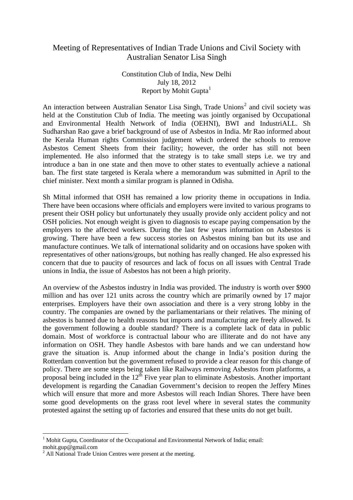## Meeting of Representatives of Indian Trade Unions and Civil Society with Australian Senator Lisa Singh

## Constitution Club of India, New Delhi July 18, 2012 Report by Mohit Gupta $<sup>1</sup>$  $<sup>1</sup>$  $<sup>1</sup>$ </sup>

An interaction between Australian Senator Lisa Singh, Trade Unions<sup>[2](#page-0-1)</sup> and civil society was held at the Constitution Club of India. The meeting was jointly organised by Occupational and Environmental Health Network of India (OEHNI), BWI and IndustriALL. Sh Sudharshan Rao gave a brief background of use of Asbestos in India. Mr Rao informed about the Kerala Human rights Commission judgement which ordered the schools to remove Asbestos Cement Sheets from their facility; however, the order has still not been implemented. He also informed that the strategy is to take small steps i.e. we try and introduce a ban in one state and then move to other states to eventually achieve a national ban. The first state targeted is Kerala where a memorandum was submitted in April to the chief minister. Next month a similar program is planned in Odisha.

Sh Mittal informed that OSH has remained a low priority theme in occupations in India. There have been occasions where officials and employers were invited to various programs to present their OSH policy but unfortunately they usually provide only accident policy and not OSH policies. Not enough weight is given to diagnosis to escape paying compensation by the employers to the affected workers. During the last few years information on Asbestos is growing. There have been a few success stories on Asbestos mining ban but its use and manufacture continues. We talk of international solidarity and on occasions have spoken with representatives of other nations/groups, but nothing has really changed. He also expressed his concern that due to paucity of resources and lack of focus on all issues with Central Trade unions in India, the issue of Asbestos has not been a high priority.

An overview of the Asbestos industry in India was provided. The industry is worth over \$900 million and has over 121 units across the country which are primarily owned by 17 major enterprises. Employers have their own association and there is a very strong lobby in the country. The companies are owned by the parliamentarians or their relatives. The mining of asbestos is banned due to health reasons but imports and manufacturing are freely allowed. Is the government following a double standard? There is a complete lack of data in public domain. Most of workforce is contractual labour who are illiterate and do not have any information on OSH. They handle Asbestos with bare hands and we can understand how grave the situation is. Anup informed about the change in India's position during the Rotterdam convention but the government refused to provide a clear reason for this change of policy. There are some steps being taken like Railways removing Asbestos from platforms, a proposal being included in the  $12^{th}$  Five year plan to eliminate Asbestosis. Another important development is regarding the Canadian Government's decision to reopen the Jeffery Mines which will ensure that more and more Asbestos will reach Indian Shores. There have been some good developments on the grass root level where in several states the community protested against the setting up of factories and ensured that these units do not get built.

<span id="page-0-0"></span><sup>&</sup>lt;sup>1</sup> Mohit Gupta, Coordinator of the Occupational and Environmental Network of India; email: mohit.gup@gmail.com

<span id="page-0-1"></span><sup>&</sup>lt;sup>2</sup> All National Trade Union Centres were present at the meeting.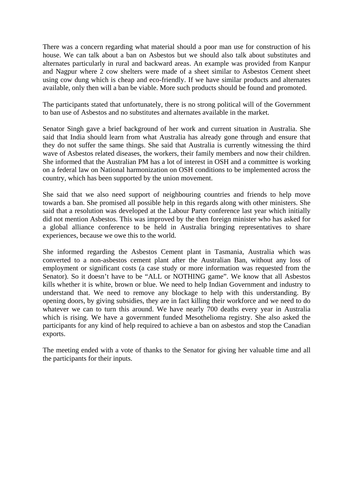There was a concern regarding what material should a poor man use for construction of his house. We can talk about a ban on Asbestos but we should also talk about substitutes and alternates particularly in rural and backward areas. An example was provided from Kanpur and Nagpur where 2 cow shelters were made of a sheet similar to Asbestos Cement sheet using cow dung which is cheap and eco-friendly. If we have similar products and alternates available, only then will a ban be viable. More such products should be found and promoted.

The participants stated that unfortunately, there is no strong political will of the Government to ban use of Asbestos and no substitutes and alternates available in the market.

Senator Singh gave a brief background of her work and current situation in Australia. She said that India should learn from what Australia has already gone through and ensure that they do not suffer the same things. She said that Australia is currently witnessing the third wave of Asbestos related diseases, the workers, their family members and now their children. She informed that the Australian PM has a lot of interest in OSH and a committee is working on a federal law on National harmonization on OSH conditions to be implemented across the country, which has been supported by the union movement.

She said that we also need support of neighbouring countries and friends to help move towards a ban. She promised all possible help in this regards along with other ministers. She said that a resolution was developed at the Labour Party conference last year which initially did not mention Asbestos. This was improved by the then foreign minister who has asked for a global alliance conference to be held in Australia bringing representatives to share experiences, because we owe this to the world.

She informed regarding the Asbestos Cement plant in Tasmania, Australia which was converted to a non-asbestos cement plant after the Australian Ban, without any loss of employment or significant costs (a case study or more information was requested from the Senator). So it doesn't have to be "ALL or NOTHING game". We know that all Asbestos kills whether it is white, brown or blue. We need to help Indian Government and industry to understand that. We need to remove any blockage to help with this understanding. By opening doors, by giving subsidies, they are in fact killing their workforce and we need to do whatever we can to turn this around. We have nearly 700 deaths every year in Australia which is rising. We have a government funded Mesothelioma registry. She also asked the participants for any kind of help required to achieve a ban on asbestos and stop the Canadian exports.

The meeting ended with a vote of thanks to the Senator for giving her valuable time and all the participants for their inputs.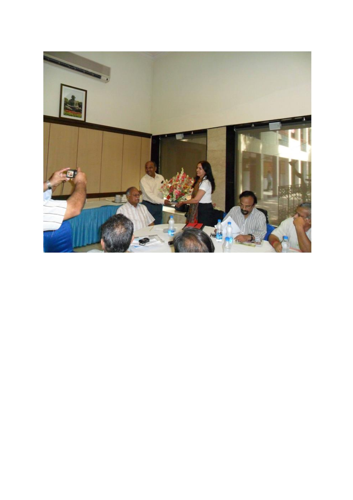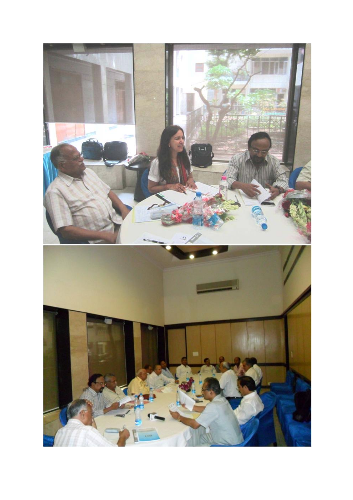